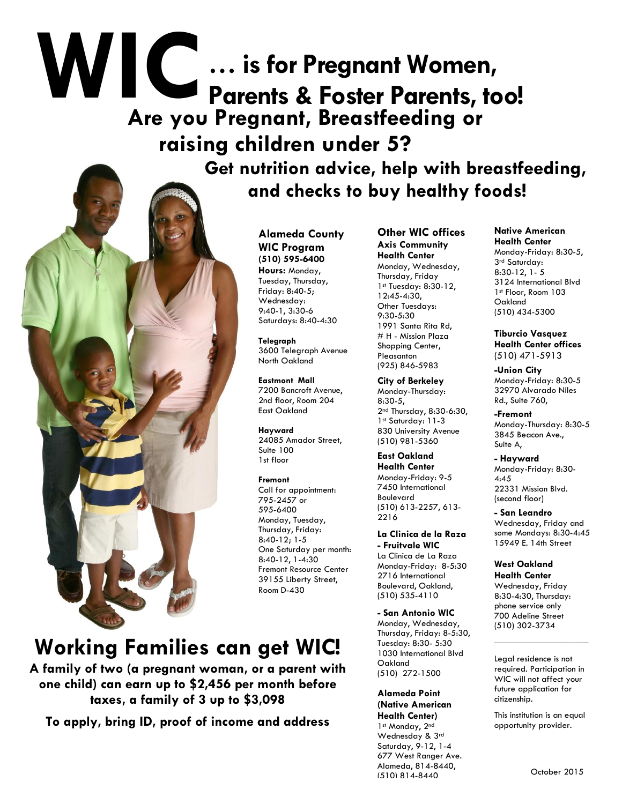# **WIC Are you Pregnant, Breastfeeding or raising children under 5? … is for Pregnant Women, Parents & Foster Parents, too!**

 **Get nutrition advice, help with breastfeeding, and checks to buy healthy foods!**

**Alameda County WIC Program (510) 595-6400 Hours:** Monday, Tuesday, Thursday, Friday: 8:40-5; Wednesday: 9:40-1, 3:30-6 Saturdays: 8:40-4:30

> **Telegraph** 3600 Telegraph Avenue North Oakland

**Eastmont Mall**  7200 Bancroft Avenue, 2nd floor, Room 204 East Oakland

**Hayward**  24085 Amador Street, Suite 100 1st floor

#### **Fremont**

Call for appointment: 795-2457 or 595-6400 Monday, Tuesday, Thursday, Friday: 8:40-12; 1-5 One Saturday per month: 8:40-12, 1-4:30 Fremont Resource Center 39155 Liberty Street, Room D-430

**Working Families can get WIC!**

**A family of two (a pregnant woman, or a parent with one child) can earn up to \$2,456 per month before taxes, a family of 3 up to \$3,098**

**To apply, bring ID, proof of income and address** 

**Other WIC offices Axis Community Health Center**  Monday, Wednesday, Thursday, Friday 1st Tuesday: 8:30-12, 12:45-4:30, Other Tuesdays: 9:30-5:30 1991 Santa Rita Rd, # H - Mission Plaza Shopping Center, Pleasanton (925) 846-5983

**City of Berkeley**  Monday-Thursday: 8:30-5, 2nd Thursday, 8:30-6:30, 1st Saturday: 11-3 830 University Avenue (510) 981-5360

**East Oakland Health Center** Monday-Friday: 9-5 7450 International Boulevard (510) 613-2257, 613- 2216

**La Clinica de la Raza - Fruitvale WIC** La Clinica de La Raza Monday-Friday: 8-5:30 2716 International Boulevard, Oakland, (510) 535-4110

**- San Antonio WIC** Monday, Wednesday, Thursday, Friday: 8-5:30, Tuesday: 8:30- 5:30 1030 International Blvd Oakland (510) 272-1500

**Alameda Point (Native American Health Center)** 1st Monday, 2nd Wednesday & 3rd Saturday, 9-12, 1-4 677 West Ranger Ave. Alameda, 814-8440, (510) 814-8440

**Native American Health Center** Monday-Friday: 8:30-5, 3rd Saturday: 8:30-12, 1- 5 3124 International Blvd 1st Floor, Room 103 Oakland (510) 434-5300

**Tiburcio Vasquez Health Center offices** (510) 471-5913

**-Union City** Monday-Friday: 8:30-5 32970 Alvarado Niles Rd., Suite 760,

**-Fremont** Monday-Thursday: 8:30-5 3845 Beacon Ave., Suite A,

**- Hayward** Monday-Friday: 8:30- 4:45 22331 Mission Blvd. (second floor)

**- San Leandro** Wednesday, Friday and some Mondays: 8:30-4:45 15949 E. 14th Street

**West Oakland Health Center**

Wednesday, Friday 8:30-4:30, Thursday: phone service only 700 Adeline Street (510) 302-3734

Legal residence is not required. Participation in WIC will not affect your future application for citizenship.

 $\mathcal{L}=\mathcal{L}=\mathcal{L}=\mathcal{L}=\mathcal{L}=\mathcal{L}=\mathcal{L}=\mathcal{L}=\mathcal{L}=\mathcal{L}=\mathcal{L}=\mathcal{L}=\mathcal{L}=\mathcal{L}=\mathcal{L}=\mathcal{L}=\mathcal{L}=\mathcal{L}=\mathcal{L}=\mathcal{L}=\mathcal{L}=\mathcal{L}=\mathcal{L}=\mathcal{L}=\mathcal{L}=\mathcal{L}=\mathcal{L}=\mathcal{L}=\mathcal{L}=\mathcal{L}=\mathcal{L}=\mathcal{L}=\mathcal{L}=\mathcal{L}=\mathcal{L}=\mathcal{L}=\mathcal{$ 

This institution is an equal opportunity provider.